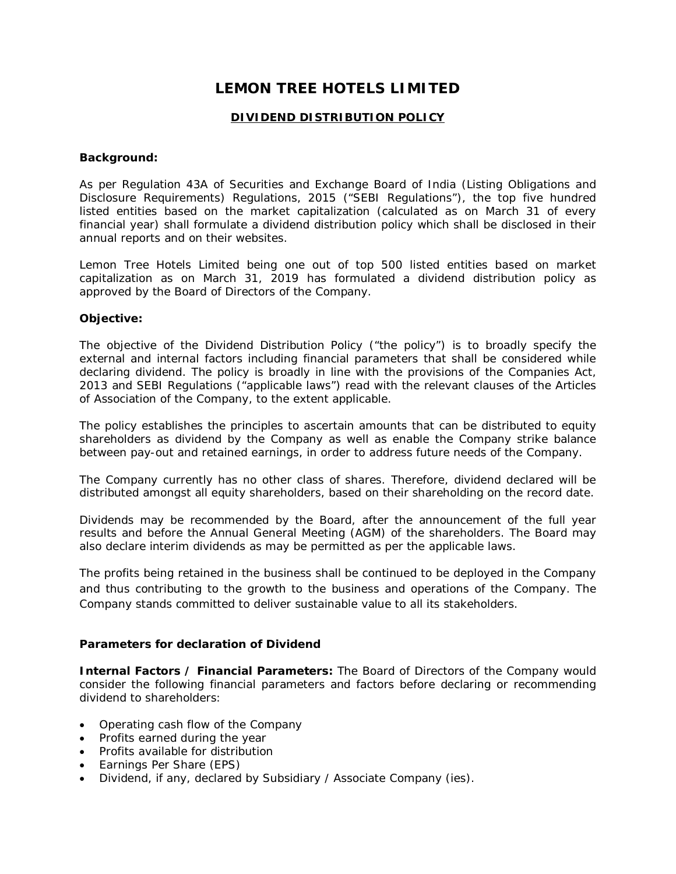# **LEMON TREE HOTELS LIMITED**

# **DIVIDEND DISTRIBUTION POLICY**

## **Background:**

As per Regulation 43A of Securities and Exchange Board of India (Listing Obligations and Disclosure Requirements) Regulations, 2015 ("SEBI Regulations"), the top five hundred listed entities based on the market capitalization (calculated as on March 31 of every financial year) shall formulate a dividend distribution policy which shall be disclosed in their annual reports and on their websites.

Lemon Tree Hotels Limited being one out of top 500 listed entities based on market capitalization as on March 31, 2019 has formulated a dividend distribution policy as approved by the Board of Directors of the Company.

## **Objective:**

The objective of the Dividend Distribution Policy ("the policy") is to broadly specify the external and internal factors including financial parameters that shall be considered while declaring dividend. The policy is broadly in line with the provisions of the Companies Act, 2013 and SEBI Regulations ("applicable laws") read with the relevant clauses of the Articles of Association of the Company, to the extent applicable.

The policy establishes the principles to ascertain amounts that can be distributed to equity shareholders as dividend by the Company as well as enable the Company strike balance between pay-out and retained earnings, in order to address future needs of the Company.

The Company currently has no other class of shares. Therefore, dividend declared will be distributed amongst all equity shareholders, based on their shareholding on the record date.

Dividends may be recommended by the Board, after the announcement of the full year results and before the Annual General Meeting (AGM) of the shareholders. The Board may also declare interim dividends as may be permitted as per the applicable laws.

The profits being retained in the business shall be continued to be deployed in the Company and thus contributing to the growth to the business and operations of the Company. The Company stands committed to deliver sustainable value to all its stakeholders.

# **Parameters for declaration of Dividend**

**Internal Factors / Financial Parameters:** The Board of Directors of the Company would consider the following financial parameters and factors before declaring or recommending dividend to shareholders:

- Operating cash flow of the Company
- Profits earned during the year
- Profits available for distribution
- Earnings Per Share (EPS)
- Dividend, if any, declared by Subsidiary / Associate Company (ies).